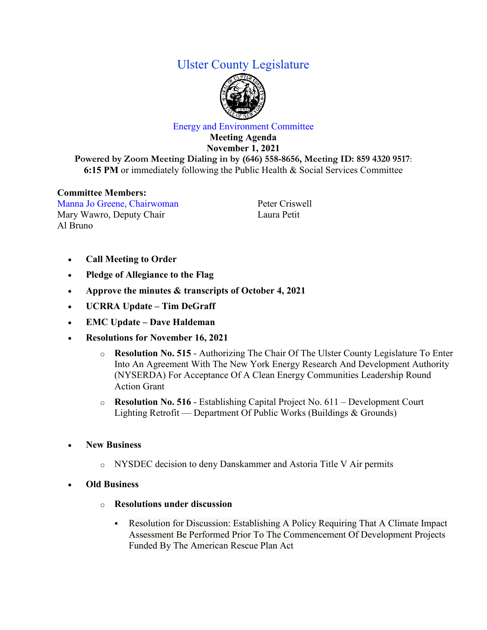## Ulster County Legislature



## Energy and Environment Committee

**Meeting Agenda November 1, 2021 Powered by Zoom Meeting Dialing in by (646) 558-8656, Meeting ID: 859 4320 9517**: **6:15 PM** or immediately following the Public Health & Social Services Committee

## **Committee Members:**

Manna Jo Greene, Chairwoman Mary Wawro, Deputy Chair Al Bruno

Peter Criswell Laura Petit

- **Call Meeting to Order**
- **Pledge of Allegiance to the Flag**
- **Approve the minutes & transcripts of October 4, 2021**
- **UCRRA Update – Tim DeGraff**
- **EMC Update – Dave Haldeman**
- **Resolutions for November 16, 2021**
	- o **Resolution No. 515**  Authorizing The Chair Of The Ulster County Legislature To Enter Into An Agreement With The New York Energy Research And Development Authority (NYSERDA) For Acceptance Of A Clean Energy Communities Leadership Round Action Grant
	- o **Resolution No. 516** Establishing Capital Project No. 611 Development Court Lighting Retrofit –– Department Of Public Works (Buildings & Grounds)
- **New Business**
	- o NYSDEC decision to deny Danskammer and Astoria Title V Air permits
- **Old Business**
	- o **Resolutions under discussion**
		- Resolution for Discussion: Establishing A Policy Requiring That A Climate Impact Assessment Be Performed Prior To The Commencement Of Development Projects Funded By The American Rescue Plan Act